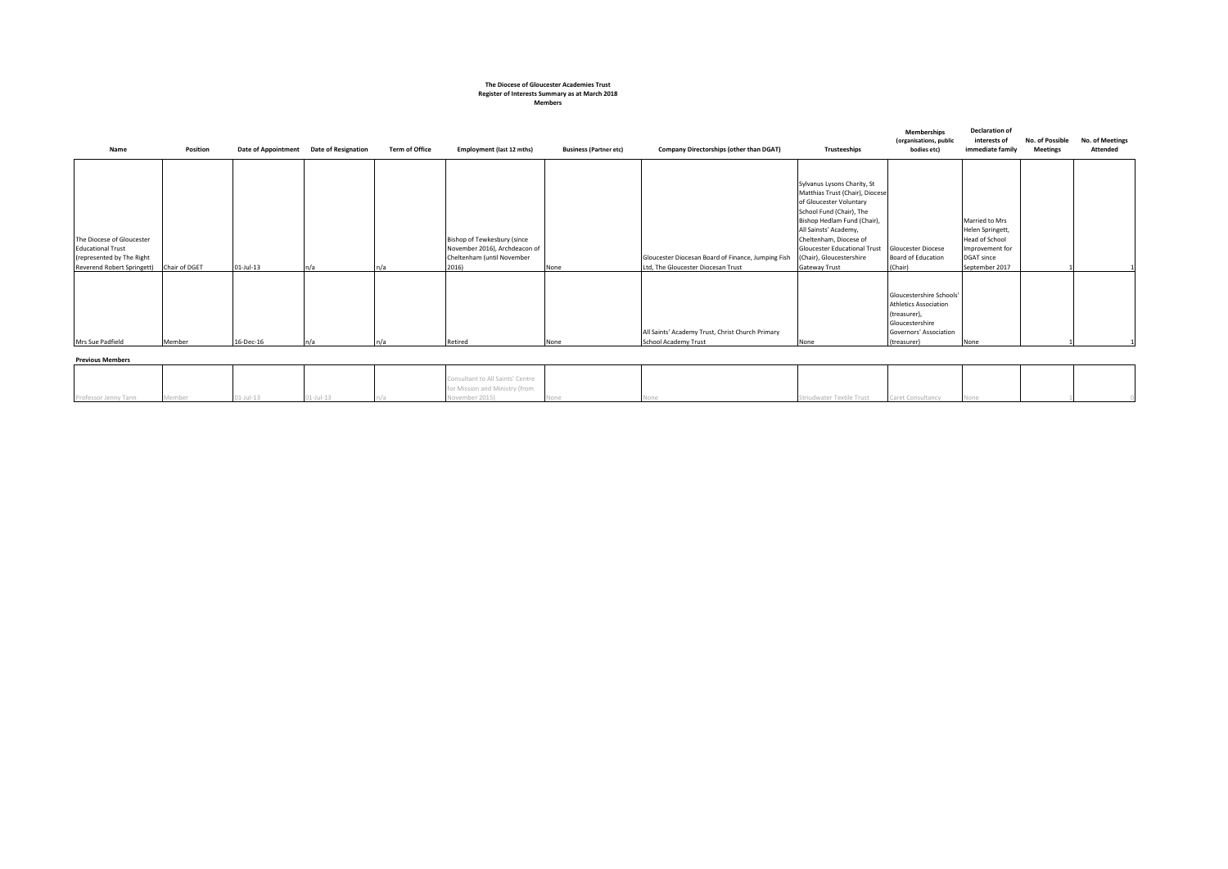#### **The Diocese of Gloucester Academies Trust Register of Interests Summary as at March 2018 Members**

| Name                                                                                                             | Position      | <b>Date of Appointment</b> | <b>Date of Resignation</b> | <b>Term of Office</b> | Employment (last 12 mths)                                                                           | <b>Business (Partner etc)</b> | Company Directorships (other than DGAT)                                                  | Trusteeships                                                                                                                                                                                                                                                                                | <b>Memberships</b><br>(organisations, public<br>bodies etc)                                                                          | <b>Declaration of</b><br>interests of<br>immediate family                                                      | No. of Possible<br><b>Meetings</b> | No. of Meetings<br><b>Attended</b> |
|------------------------------------------------------------------------------------------------------------------|---------------|----------------------------|----------------------------|-----------------------|-----------------------------------------------------------------------------------------------------|-------------------------------|------------------------------------------------------------------------------------------|---------------------------------------------------------------------------------------------------------------------------------------------------------------------------------------------------------------------------------------------------------------------------------------------|--------------------------------------------------------------------------------------------------------------------------------------|----------------------------------------------------------------------------------------------------------------|------------------------------------|------------------------------------|
| The Diocese of Gloucester<br><b>Educational Trust</b><br>(represented by The Right<br>Reverend Robert Springett) | Chair of DGET | $01$ -Jul-13               | n/a                        |                       | Bishop of Tewkesbury (since<br>November 2016), Archdeacon of<br>Cheltenham (until November<br>2016) | None                          | Gloucester Diocesan Board of Finance, Jumping Fish<br>Ltd, The Gloucester Diocesan Trust | Sylvanus Lysons Charity, St<br>Matthias Trust (Chair), Diocese<br>of Gloucester Voluntary<br>School Fund (Chair), The<br>Bishop Hedlam Fund (Chair),<br>All Sainsts' Academy,<br>Cheltenham, Diocese of<br>Gloucester Educational Trust<br>(Chair), Gloucestershire<br><b>Gateway Trust</b> | <b>Gloucester Diocese</b><br><b>Board of Education</b><br>(Chair)                                                                    | Married to Mrs<br>Helen Springett,<br>Head of School<br>Improvement for<br><b>DGAT since</b><br>September 2017 |                                    |                                    |
| Mrs Sue Padfield                                                                                                 | Member        | 16-Dec-16                  | ln/a                       |                       | Retired                                                                                             | None                          | All Saints' Academy Trust, Christ Church Primary<br>School Academy Trust                 | None                                                                                                                                                                                                                                                                                        | Gloucestershire Schools'<br><b>Athletics Association</b><br>(treasurer),<br>Gloucestershire<br>Governors' Association<br>(treasurer) | None                                                                                                           |                                    |                                    |

| Deard a contra and a series and |  |
|---------------------------------|--|

| Previous Members     |           |   |                                  |  |                           |                   |  |  |
|----------------------|-----------|---|----------------------------------|--|---------------------------|-------------------|--|--|
|                      |           |   |                                  |  |                           |                   |  |  |
|                      |           |   | Consultant to All Saints' Centre |  |                           |                   |  |  |
|                      |           |   | for Mission and Ministry (from   |  |                           |                   |  |  |
| Professor Jenny Tann | VIJULIO I | . | November 2015)                   |  | Striudwater Textile Trust | Caret Consultancy |  |  |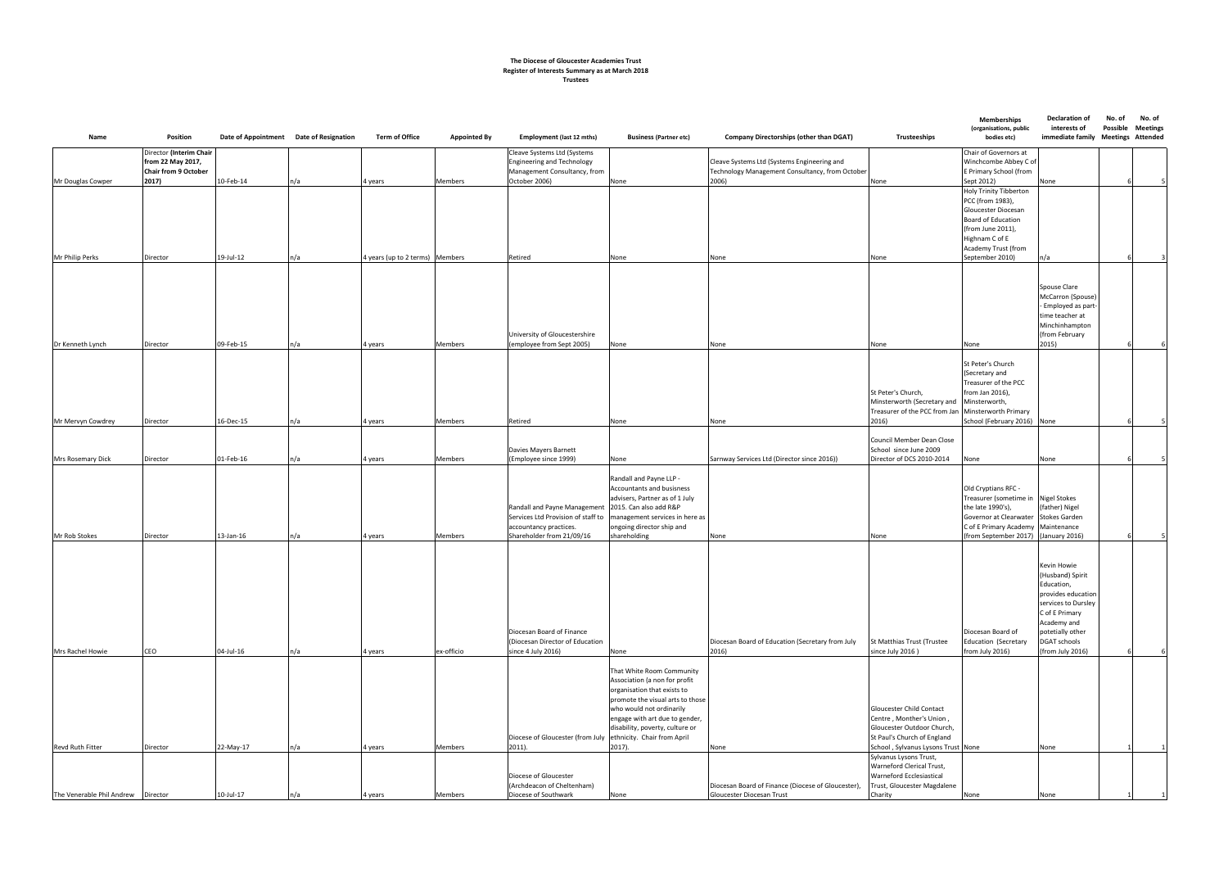| Director (Interim Chair<br>Chair of Governors at<br>Cleave Systems Ltd (Systems<br>Winchcombe Abbey C of<br>from 22 May 2017,<br><b>Engineering and Technology</b><br>Cleave Systems Ltd (Systems Engineering and<br><b>Chair from 9 October</b><br>Management Consultancy, from<br>Technology Management Consultancy, from October<br>E Primary School (from<br>10-Feb-14<br>n/a<br>October 2006)<br>2006)<br>2017)<br><b>Members</b><br>None<br>None<br>Sept 2012)<br>None<br>Mr Douglas Cowper<br>4 years<br><b>Holy Trinity Tibberton</b><br>PCC (from 1983),<br>Gloucester Diocesan<br><b>Board of Education</b><br>(from June 2011),<br>Highnam C of E<br>Academy Trust (from<br>19-Jul-12<br>September 2010)<br>Mr Philip Perks<br>n/a<br>4 years (up to 2 terms) Members<br>Retired<br>n/a<br>Director<br>None<br>None<br>None<br>Spouse Clare<br>McCarron (Spouse)<br>- Employed as part-<br>time teacher at<br>Minchinhampton<br>University of Gloucestershire<br>(from February<br>09-Feb-15<br>2015)<br>Dr Kenneth Lynch<br>n/a<br>Members<br>(employee from Sept 2005)<br>None<br>Director<br>4 years<br>None<br>None<br>None<br>St Peter's Church<br>(Secretary and<br>Treasurer of the PCC<br>from Jan 2016),<br>St Peter's Church,<br>Minsterworth (Secretary and<br>Minsterworth,<br>Treasurer of the PCC from Jan Minsterworth Primary<br>16-Dec-15<br>n/a<br>Retired<br>2016)<br>School (February 2016) None<br>Members<br>Mr Mervyn Cowdrey<br>Director<br>4 years<br>None<br>None<br>Council Member Dean Close<br>School since June 2009<br>Davies Mayers Barnett<br>n/a<br>Director of DCS 2010-2014<br>01-Feb-16<br><b>Members</b><br>(Employee since 1999)<br>Sarnway Services Ltd (Director since 2016))<br><b>Mrs Rosemary Dick</b><br>Director<br>4 years<br>None<br>None<br>None<br>Randall and Payne LLP -<br>Accountants and busisness<br>Old Cryptians RFC -<br>Treasurer (sometime in<br>advisers, Partner as of 1 July<br><b>Nigel Stokes</b><br>2015. Can also add R&P<br>the late 1990's),<br>(father) Nigel<br>Randall and Payne Management<br><b>Stokes Garden</b><br>Services Ltd Provision of staff to<br>management services in here as<br>Governor at Clearwater<br>C of E Primary Academy<br>Maintenance<br>ongoing director ship and<br>accountancy practices.<br>$13$ -Jan- $16$<br>(from September 2017) (January 2016)<br>Mr Rob Stokes<br>n/a<br>Members<br>Shareholder from 21/09/16<br>shareholding<br>Director<br>4 years<br>None<br>None<br>Kevin Howie<br>(Husband) Spirit<br>Education,<br>provides education<br>services to Dursley<br>C of E Primary<br>Academy and<br>Diocesan Board of Finance<br>Diocesan Board of<br>potetially other<br><b>DGAT schools</b><br>(Diocesan Director of Education<br>Diocesan Board of Education (Secretary from July<br>St Matthias Trust (Trustee<br>Education (Secretary<br>n/a<br>ex-officio<br>(from July 2016)<br>Mrs Rachel Howie<br>CEO<br>04-Jul-16<br>since 4 July 2016)<br>2016)<br>since July 2016)<br>from July 2016)<br>None<br>4 years<br>That White Room Community<br>Association (a non for profit<br>organisation that exists to<br>promote the visual arts to those<br>who would not ordinarily<br><b>Gloucester Child Contact</b><br>Centre, Monther's Union,<br>engage with art due to gender,<br>disability, poverty, culture or<br>Gloucester Outdoor Church,<br>ethnicity. Chair from April<br>St Paul's Church of England<br>Diocese of Gloucester (from July<br>2017).<br>School, Sylvanus Lysons Trust None<br>Revd Ruth Fitter<br>22-May-17<br>n/a<br>Members<br>$2011$ ).<br>Director<br>4 years<br>None<br>None<br>Sylvanus Lysons Trust,<br>Warneford Clerical Trust,<br><b>Warneford Ecclesiastical</b><br>Diocese of Gloucester<br>(Archdeacon of Cheltenham)<br>Diocesan Board of Finance (Diocese of Gloucester),<br>Trust, Gloucester Magdalene<br>Diocese of Southwark<br>The Venerable Phil Andrew   Director<br>10-Jul-17<br>n/a<br>Gloucester Diocesan Trust<br>Charity<br>Members<br>None<br>None<br>4 years<br>None | Name | Position | Date of Appointment Date of Resignation | <b>Term of Office</b> | <b>Appointed By</b> | Employment (last 12 mths) | <b>Business (Partner etc)</b> | Company Directorships (other than DGAT) | Trusteeships | <b>Memberships</b><br>(organisations, public<br>bodies etc) | <b>Declaration of</b><br>interests of | No. of<br>No. of<br><b>Possible</b><br><b>Meetings</b><br>immediate family Meetings Attended |
|--------------------------------------------------------------------------------------------------------------------------------------------------------------------------------------------------------------------------------------------------------------------------------------------------------------------------------------------------------------------------------------------------------------------------------------------------------------------------------------------------------------------------------------------------------------------------------------------------------------------------------------------------------------------------------------------------------------------------------------------------------------------------------------------------------------------------------------------------------------------------------------------------------------------------------------------------------------------------------------------------------------------------------------------------------------------------------------------------------------------------------------------------------------------------------------------------------------------------------------------------------------------------------------------------------------------------------------------------------------------------------------------------------------------------------------------------------------------------------------------------------------------------------------------------------------------------------------------------------------------------------------------------------------------------------------------------------------------------------------------------------------------------------------------------------------------------------------------------------------------------------------------------------------------------------------------------------------------------------------------------------------------------------------------------------------------------------------------------------------------------------------------------------------------------------------------------------------------------------------------------------------------------------------------------------------------------------------------------------------------------------------------------------------------------------------------------------------------------------------------------------------------------------------------------------------------------------------------------------------------------------------------------------------------------------------------------------------------------------------------------------------------------------------------------------------------------------------------------------------------------------------------------------------------------------------------------------------------------------------------------------------------------------------------------------------------------------------------------------------------------------------------------------------------------------------------------------------------------------------------------------------------------------------------------------------------------------------------------------------------------------------------------------------------------------------------------------------------------------------------------------------------------------------------------------------------------------------------------------------------------------------------------------------------------------------------------------------------------------------------------------------------------------------------------------------------------------------------------------------------------------------------------------------------------------------------------------------------------------------------------------------------------------------------------------|------|----------|-----------------------------------------|-----------------------|---------------------|---------------------------|-------------------------------|-----------------------------------------|--------------|-------------------------------------------------------------|---------------------------------------|----------------------------------------------------------------------------------------------|
|                                                                                                                                                                                                                                                                                                                                                                                                                                                                                                                                                                                                                                                                                                                                                                                                                                                                                                                                                                                                                                                                                                                                                                                                                                                                                                                                                                                                                                                                                                                                                                                                                                                                                                                                                                                                                                                                                                                                                                                                                                                                                                                                                                                                                                                                                                                                                                                                                                                                                                                                                                                                                                                                                                                                                                                                                                                                                                                                                                                                                                                                                                                                                                                                                                                                                                                                                                                                                                                                                                                                                                                                                                                                                                                                                                                                                                                                                                                                                                                                                                                        |      |          |                                         |                       |                     |                           |                               |                                         |              |                                                             |                                       |                                                                                              |
|                                                                                                                                                                                                                                                                                                                                                                                                                                                                                                                                                                                                                                                                                                                                                                                                                                                                                                                                                                                                                                                                                                                                                                                                                                                                                                                                                                                                                                                                                                                                                                                                                                                                                                                                                                                                                                                                                                                                                                                                                                                                                                                                                                                                                                                                                                                                                                                                                                                                                                                                                                                                                                                                                                                                                                                                                                                                                                                                                                                                                                                                                                                                                                                                                                                                                                                                                                                                                                                                                                                                                                                                                                                                                                                                                                                                                                                                                                                                                                                                                                                        |      |          |                                         |                       |                     |                           |                               |                                         |              |                                                             |                                       |                                                                                              |
|                                                                                                                                                                                                                                                                                                                                                                                                                                                                                                                                                                                                                                                                                                                                                                                                                                                                                                                                                                                                                                                                                                                                                                                                                                                                                                                                                                                                                                                                                                                                                                                                                                                                                                                                                                                                                                                                                                                                                                                                                                                                                                                                                                                                                                                                                                                                                                                                                                                                                                                                                                                                                                                                                                                                                                                                                                                                                                                                                                                                                                                                                                                                                                                                                                                                                                                                                                                                                                                                                                                                                                                                                                                                                                                                                                                                                                                                                                                                                                                                                                                        |      |          |                                         |                       |                     |                           |                               |                                         |              |                                                             |                                       |                                                                                              |
|                                                                                                                                                                                                                                                                                                                                                                                                                                                                                                                                                                                                                                                                                                                                                                                                                                                                                                                                                                                                                                                                                                                                                                                                                                                                                                                                                                                                                                                                                                                                                                                                                                                                                                                                                                                                                                                                                                                                                                                                                                                                                                                                                                                                                                                                                                                                                                                                                                                                                                                                                                                                                                                                                                                                                                                                                                                                                                                                                                                                                                                                                                                                                                                                                                                                                                                                                                                                                                                                                                                                                                                                                                                                                                                                                                                                                                                                                                                                                                                                                                                        |      |          |                                         |                       |                     |                           |                               |                                         |              |                                                             |                                       |                                                                                              |
|                                                                                                                                                                                                                                                                                                                                                                                                                                                                                                                                                                                                                                                                                                                                                                                                                                                                                                                                                                                                                                                                                                                                                                                                                                                                                                                                                                                                                                                                                                                                                                                                                                                                                                                                                                                                                                                                                                                                                                                                                                                                                                                                                                                                                                                                                                                                                                                                                                                                                                                                                                                                                                                                                                                                                                                                                                                                                                                                                                                                                                                                                                                                                                                                                                                                                                                                                                                                                                                                                                                                                                                                                                                                                                                                                                                                                                                                                                                                                                                                                                                        |      |          |                                         |                       |                     |                           |                               |                                         |              |                                                             |                                       |                                                                                              |
|                                                                                                                                                                                                                                                                                                                                                                                                                                                                                                                                                                                                                                                                                                                                                                                                                                                                                                                                                                                                                                                                                                                                                                                                                                                                                                                                                                                                                                                                                                                                                                                                                                                                                                                                                                                                                                                                                                                                                                                                                                                                                                                                                                                                                                                                                                                                                                                                                                                                                                                                                                                                                                                                                                                                                                                                                                                                                                                                                                                                                                                                                                                                                                                                                                                                                                                                                                                                                                                                                                                                                                                                                                                                                                                                                                                                                                                                                                                                                                                                                                                        |      |          |                                         |                       |                     |                           |                               |                                         |              |                                                             |                                       |                                                                                              |
|                                                                                                                                                                                                                                                                                                                                                                                                                                                                                                                                                                                                                                                                                                                                                                                                                                                                                                                                                                                                                                                                                                                                                                                                                                                                                                                                                                                                                                                                                                                                                                                                                                                                                                                                                                                                                                                                                                                                                                                                                                                                                                                                                                                                                                                                                                                                                                                                                                                                                                                                                                                                                                                                                                                                                                                                                                                                                                                                                                                                                                                                                                                                                                                                                                                                                                                                                                                                                                                                                                                                                                                                                                                                                                                                                                                                                                                                                                                                                                                                                                                        |      |          |                                         |                       |                     |                           |                               |                                         |              |                                                             |                                       |                                                                                              |
|                                                                                                                                                                                                                                                                                                                                                                                                                                                                                                                                                                                                                                                                                                                                                                                                                                                                                                                                                                                                                                                                                                                                                                                                                                                                                                                                                                                                                                                                                                                                                                                                                                                                                                                                                                                                                                                                                                                                                                                                                                                                                                                                                                                                                                                                                                                                                                                                                                                                                                                                                                                                                                                                                                                                                                                                                                                                                                                                                                                                                                                                                                                                                                                                                                                                                                                                                                                                                                                                                                                                                                                                                                                                                                                                                                                                                                                                                                                                                                                                                                                        |      |          |                                         |                       |                     |                           |                               |                                         |              |                                                             |                                       |                                                                                              |
|                                                                                                                                                                                                                                                                                                                                                                                                                                                                                                                                                                                                                                                                                                                                                                                                                                                                                                                                                                                                                                                                                                                                                                                                                                                                                                                                                                                                                                                                                                                                                                                                                                                                                                                                                                                                                                                                                                                                                                                                                                                                                                                                                                                                                                                                                                                                                                                                                                                                                                                                                                                                                                                                                                                                                                                                                                                                                                                                                                                                                                                                                                                                                                                                                                                                                                                                                                                                                                                                                                                                                                                                                                                                                                                                                                                                                                                                                                                                                                                                                                                        |      |          |                                         |                       |                     |                           |                               |                                         |              |                                                             |                                       |                                                                                              |
|                                                                                                                                                                                                                                                                                                                                                                                                                                                                                                                                                                                                                                                                                                                                                                                                                                                                                                                                                                                                                                                                                                                                                                                                                                                                                                                                                                                                                                                                                                                                                                                                                                                                                                                                                                                                                                                                                                                                                                                                                                                                                                                                                                                                                                                                                                                                                                                                                                                                                                                                                                                                                                                                                                                                                                                                                                                                                                                                                                                                                                                                                                                                                                                                                                                                                                                                                                                                                                                                                                                                                                                                                                                                                                                                                                                                                                                                                                                                                                                                                                                        |      |          |                                         |                       |                     |                           |                               |                                         |              |                                                             |                                       |                                                                                              |

## **The Diocese of Gloucester Academies Trust Register of Interests Summary as at March 2018 Trustees**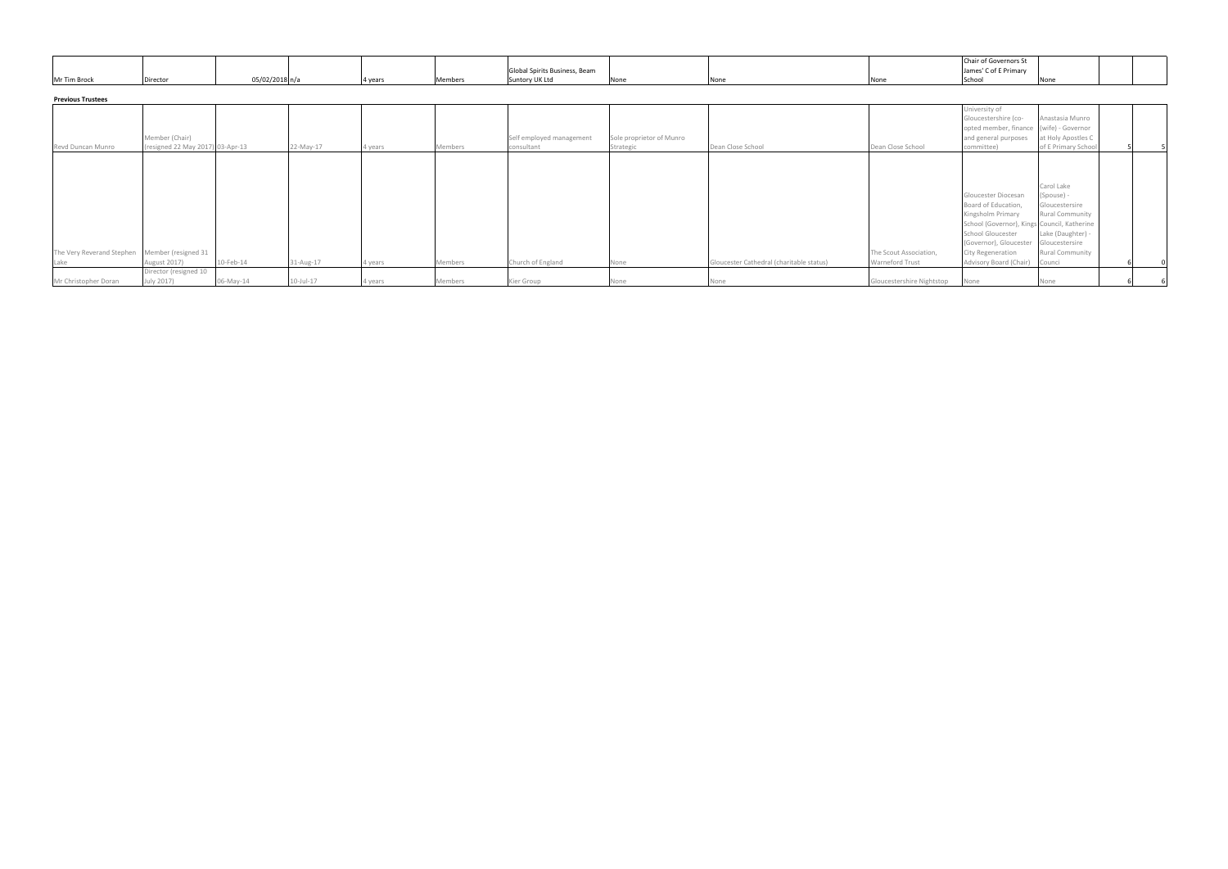|              |          |                            |        |               |              |  | Chair of Governors St |  |
|--------------|----------|----------------------------|--------|---------------|--------------|--|-----------------------|--|
|              |          |                            |        |               |              |  | of E Primary          |  |
| Mr Tim Brock | Director | '2018n<br>ori 10707/2010 ا | 14 ve. | untory UK Ltd | <b>INOTH</b> |  |                       |  |

# **Previous Trustees**

| <b>Previous Trustees</b>                      |                                                    |           |                 |         |         |                                        |                                       |                                          |                           |                                                                                                                        |                                                              |  |
|-----------------------------------------------|----------------------------------------------------|-----------|-----------------|---------|---------|----------------------------------------|---------------------------------------|------------------------------------------|---------------------------|------------------------------------------------------------------------------------------------------------------------|--------------------------------------------------------------|--|
| Revd Duncan Munro                             | Member (Chair)<br>(resigned 22 May 2017) 03-Apr-13 |           | 22-May-17       | 4 years | Members | Self employed management<br>consultant | Sole proprietor of Munro<br>Strategic | Dean Close School                        | Dean Close School         | University of<br>Gloucestershire (co-<br>opted member, finance (wife) - Governor<br>and general purposes<br>committee) | Anastasia Munro<br>at Holy Apostles C<br>of E Primary School |  |
|                                               |                                                    |           |                 |         |         |                                        |                                       |                                          |                           |                                                                                                                        |                                                              |  |
|                                               |                                                    |           |                 |         |         |                                        |                                       |                                          |                           |                                                                                                                        |                                                              |  |
|                                               |                                                    |           |                 |         |         |                                        |                                       |                                          |                           |                                                                                                                        | Carol Lake                                                   |  |
|                                               |                                                    |           |                 |         |         |                                        |                                       |                                          |                           | Gloucester Diocesan                                                                                                    | (Spouse) -                                                   |  |
|                                               |                                                    |           |                 |         |         |                                        |                                       |                                          |                           | Board of Education,                                                                                                    | Gloucestersire                                               |  |
|                                               |                                                    |           |                 |         |         |                                        |                                       |                                          |                           | Kingsholm Primary                                                                                                      | Rural Community                                              |  |
|                                               |                                                    |           |                 |         |         |                                        |                                       |                                          |                           | School (Governor), Kings Council, Katherine                                                                            |                                                              |  |
|                                               |                                                    |           |                 |         |         |                                        |                                       |                                          |                           | <b>School Gloucester</b>                                                                                               | Lake (Daughter) -                                            |  |
|                                               |                                                    |           |                 |         |         |                                        |                                       |                                          |                           | (Governor), Gloucester                                                                                                 | Gloucestersire                                               |  |
| The Very Reverand Stephen Member (resigned 31 |                                                    |           |                 |         |         |                                        |                                       |                                          | The Scout Association,    | City Regeneration                                                                                                      | <b>Rural Community</b>                                       |  |
| Lake                                          | August 2017)                                       | 10-Feb-14 | 31-Aug-17       | 4 years | Members | Church of England                      | None                                  | Gloucester Cathedral (charitable status) | <b>Warneford Trust</b>    | Advisory Board (Chair)                                                                                                 | Counci                                                       |  |
|                                               | Director (resigned 10                              |           |                 |         |         |                                        |                                       |                                          |                           |                                                                                                                        |                                                              |  |
| Mr Christopher Doran                          | July 2017)                                         | 06-May-14 | $10$ -Jul- $17$ | 4 years | Members | Kier Group                             | None                                  |                                          | Gloucestershire Nightstop | None                                                                                                                   |                                                              |  |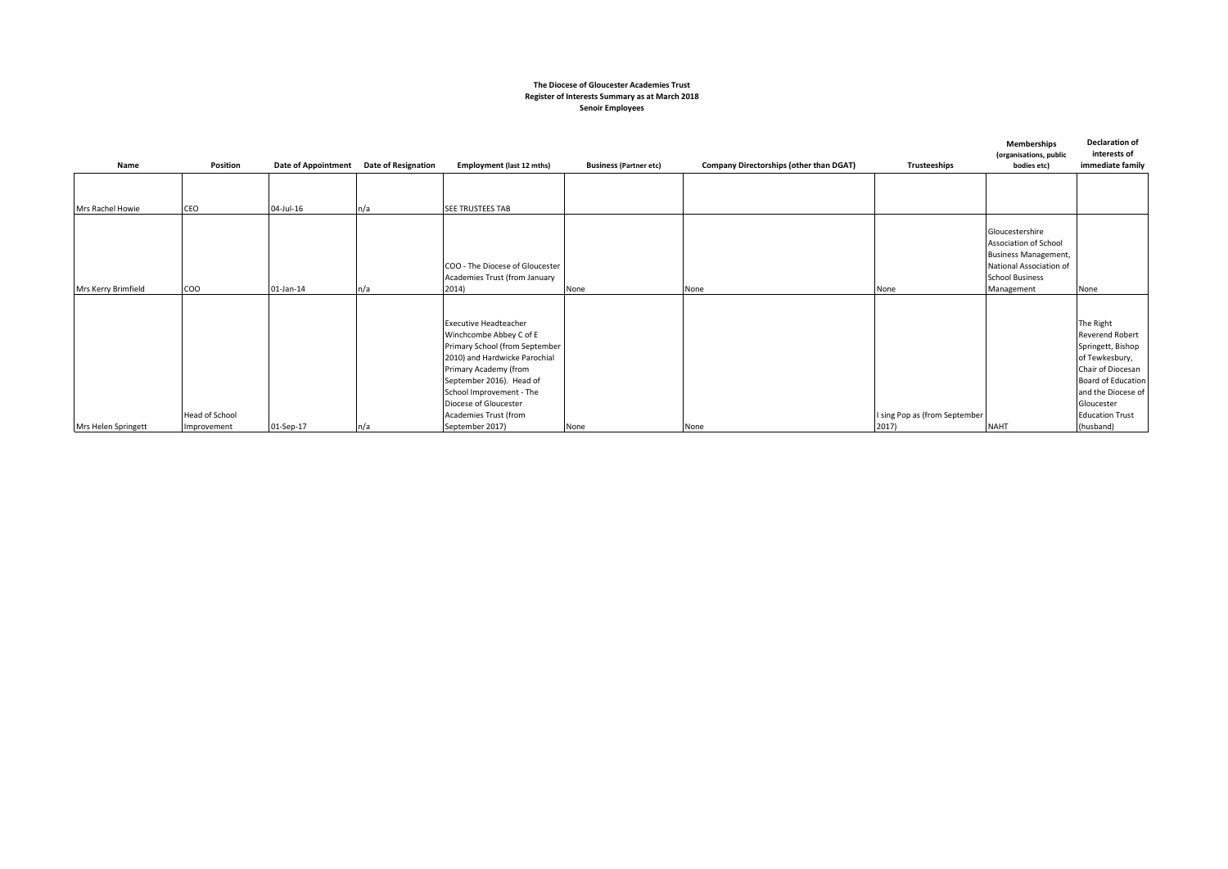### **The Diocese of Gloucester Academies Trust Register of Interests Summary as at March 2018 Senoir Employees**

| Name                | Position                      | <b>Date of Appointment</b> | <b>Date of Resignation</b> | Employment (last 12 mths)                                                                                                                                                                                                                                                        | <b>Business (Partner etc)</b> | Company Directorships (other than DGAT) | Trusteeships                           | <b>Memberships</b><br>(organisations, public<br>bodies etc)                                                                                | <b>Declaration of</b><br>interests of<br>immediate family                                                                                                                                        |
|---------------------|-------------------------------|----------------------------|----------------------------|----------------------------------------------------------------------------------------------------------------------------------------------------------------------------------------------------------------------------------------------------------------------------------|-------------------------------|-----------------------------------------|----------------------------------------|--------------------------------------------------------------------------------------------------------------------------------------------|--------------------------------------------------------------------------------------------------------------------------------------------------------------------------------------------------|
| Mrs Rachel Howie    | CEO                           | 04-Jul-16                  | n/a                        | <b>SEE TRUSTEES TAB</b>                                                                                                                                                                                                                                                          |                               |                                         |                                        |                                                                                                                                            |                                                                                                                                                                                                  |
| Mrs Kerry Brimfield | COO                           | 01-Jan-14                  | n/a                        | COO - The Diocese of Gloucester<br>Academies Trust (from January<br>2014)                                                                                                                                                                                                        | None                          | None                                    | None                                   | Gloucestershire<br>Association of School<br><b>Business Management,</b><br>National Association of<br><b>School Business</b><br>Management | None                                                                                                                                                                                             |
| Mrs Helen Springett | Head of School<br>Improvement | 01-Sep-17                  | n/a                        | <b>Executive Headteacher</b><br>Winchcombe Abbey C of E<br>Primary School (from September<br>2010) and Hardwicke Parochial<br>Primary Academy (from<br>September 2016). Head of<br>School Improvement - The<br>Diocese of Gloucester<br>Academies Trust (from<br>September 2017) | None                          | None                                    | I sing Pop as (from September<br>2017) | <b>NAHT</b>                                                                                                                                | The Right<br><b>Reverend Robert</b><br>Springett, Bishop<br>of Tewkesbury,<br>Chair of Diocesan<br>Board of Education<br>and the Diocese of<br>Gloucester<br><b>Education Trust</b><br>(husband) |